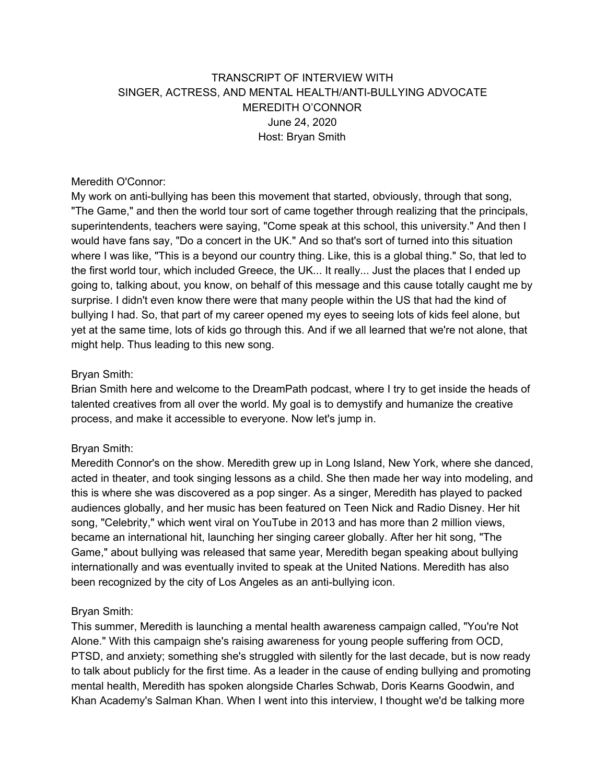# TRANSCRIPT OF INTERVIEW WITH SINGER, ACTRESS, AND MENTAL HEALTH/ANTI-BULLYING ADVOCATE MEREDITH O'CONNOR June 24, 2020 Host: Bryan Smith

#### Meredith O'Connor:

My work on anti-bullying has been this movement that started, obviously, through that song, "The Game," and then the world tour sort of came together through realizing that the principals, superintendents, teachers were saying, "Come speak at this school, this university." And then I would have fans say, "Do a concert in the UK." And so that's sort of turned into this situation where I was like, "This is a beyond our country thing. Like, this is a global thing." So, that led to the first world tour, which included Greece, the UK... It really... Just the places that I ended up going to, talking about, you know, on behalf of this message and this cause totally caught me by surprise. I didn't even know there were that many people within the US that had the kind of bullying I had. So, that part of my career opened my eyes to seeing lots of kids feel alone, but yet at the same time, lots of kids go through this. And if we all learned that we're not alone, that might help. Thus leading to this new song.

### Bryan Smith:

Brian Smith here and welcome to the DreamPath podcast, where I try to get inside the heads of talented creatives from all over the world. My goal is to demystify and humanize the creative process, and make it accessible to everyone. Now let's jump in.

### Bryan Smith:

Meredith Connor's on the show. Meredith grew up in Long Island, New York, where she danced, acted in theater, and took singing lessons as a child. She then made her way into modeling, and this is where she was discovered as a pop singer. As a singer, Meredith has played to packed audiences globally, and her music has been featured on Teen Nick and Radio Disney. Her hit song, "Celebrity," which went viral on YouTube in 2013 and has more than 2 million views, became an international hit, launching her singing career globally. After her hit song, "The Game," about bullying was released that same year, Meredith began speaking about bullying internationally and was eventually invited to speak at the United Nations. Meredith has also been recognized by the city of Los Angeles as an anti-bullying icon.

### Bryan Smith:

This summer, Meredith is launching a mental health awareness campaign called, "You're Not Alone." With this campaign she's raising awareness for young people suffering from OCD, PTSD, and anxiety; something she's struggled with silently for the last decade, but is now ready to talk about publicly for the first time. As a leader in the cause of ending bullying and promoting mental health, Meredith has spoken alongside Charles Schwab, Doris Kearns Goodwin, and Khan Academy's Salman Khan. When I went into this interview, I thought we'd be talking more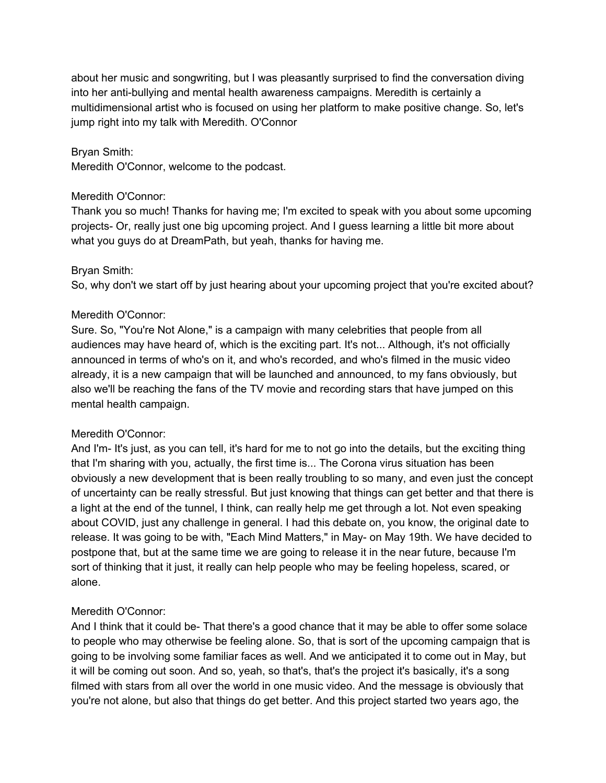about her music and songwriting, but I was pleasantly surprised to find the conversation diving into her anti-bullying and mental health awareness campaigns. Meredith is certainly a multidimensional artist who is focused on using her platform to make positive change. So, let's jump right into my talk with Meredith. O'Connor

#### Bryan Smith:

Meredith O'Connor, welcome to the podcast.

#### Meredith O'Connor:

Thank you so much! Thanks for having me; I'm excited to speak with you about some upcoming projects- Or, really just one big upcoming project. And I guess learning a little bit more about what you guys do at DreamPath, but yeah, thanks for having me.

### Bryan Smith:

So, why don't we start off by just hearing about your upcoming project that you're excited about?

#### Meredith O'Connor:

Sure. So, "You're Not Alone," is a campaign with many celebrities that people from all audiences may have heard of, which is the exciting part. It's not... Although, it's not officially announced in terms of who's on it, and who's recorded, and who's filmed in the music video already, it is a new campaign that will be launched and announced, to my fans obviously, but also we'll be reaching the fans of the TV movie and recording stars that have jumped on this mental health campaign.

### Meredith O'Connor:

And I'm- It's just, as you can tell, it's hard for me to not go into the details, but the exciting thing that I'm sharing with you, actually, the first time is... The Corona virus situation has been obviously a new development that is been really troubling to so many, and even just the concept of uncertainty can be really stressful. But just knowing that things can get better and that there is a light at the end of the tunnel, I think, can really help me get through a lot. Not even speaking about COVID, just any challenge in general. I had this debate on, you know, the original date to release. It was going to be with, "Each Mind Matters," in May- on May 19th. We have decided to postpone that, but at the same time we are going to release it in the near future, because I'm sort of thinking that it just, it really can help people who may be feeling hopeless, scared, or alone.

### Meredith O'Connor:

And I think that it could be- That there's a good chance that it may be able to offer some solace to people who may otherwise be feeling alone. So, that is sort of the upcoming campaign that is going to be involving some familiar faces as well. And we anticipated it to come out in May, but it will be coming out soon. And so, yeah, so that's, that's the project it's basically, it's a song filmed with stars from all over the world in one music video. And the message is obviously that you're not alone, but also that things do get better. And this project started two years ago, the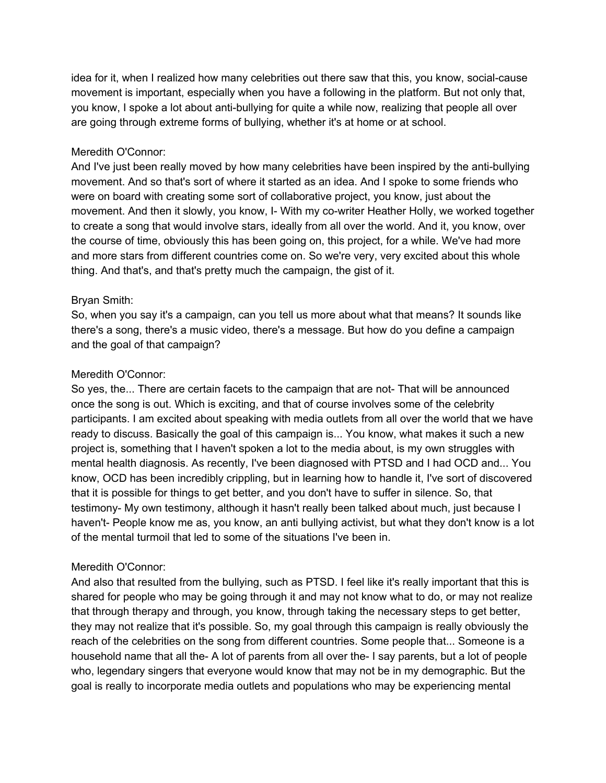idea for it, when I realized how many celebrities out there saw that this, you know, social-cause movement is important, especially when you have a following in the platform. But not only that, you know, I spoke a lot about anti-bullying for quite a while now, realizing that people all over are going through extreme forms of bullying, whether it's at home or at school.

#### Meredith O'Connor:

And I've just been really moved by how many celebrities have been inspired by the anti-bullying movement. And so that's sort of where it started as an idea. And I spoke to some friends who were on board with creating some sort of collaborative project, you know, just about the movement. And then it slowly, you know, I- With my co-writer Heather Holly, we worked together to create a song that would involve stars, ideally from all over the world. And it, you know, over the course of time, obviously this has been going on, this project, for a while. We've had more and more stars from different countries come on. So we're very, very excited about this whole thing. And that's, and that's pretty much the campaign, the gist of it.

### Bryan Smith:

So, when you say it's a campaign, can you tell us more about what that means? It sounds like there's a song, there's a music video, there's a message. But how do you define a campaign and the goal of that campaign?

### Meredith O'Connor:

So yes, the... There are certain facets to the campaign that are not- That will be announced once the song is out. Which is exciting, and that of course involves some of the celebrity participants. I am excited about speaking with media outlets from all over the world that we have ready to discuss. Basically the goal of this campaign is... You know, what makes it such a new project is, something that I haven't spoken a lot to the media about, is my own struggles with mental health diagnosis. As recently, I've been diagnosed with PTSD and I had OCD and... You know, OCD has been incredibly crippling, but in learning how to handle it, I've sort of discovered that it is possible for things to get better, and you don't have to suffer in silence. So, that testimony- My own testimony, although it hasn't really been talked about much, just because I haven't- People know me as, you know, an anti bullying activist, but what they don't know is a lot of the mental turmoil that led to some of the situations I've been in.

### Meredith O'Connor:

And also that resulted from the bullying, such as PTSD. I feel like it's really important that this is shared for people who may be going through it and may not know what to do, or may not realize that through therapy and through, you know, through taking the necessary steps to get better, they may not realize that it's possible. So, my goal through this campaign is really obviously the reach of the celebrities on the song from different countries. Some people that... Someone is a household name that all the- A lot of parents from all over the- I say parents, but a lot of people who, legendary singers that everyone would know that may not be in my demographic. But the goal is really to incorporate media outlets and populations who may be experiencing mental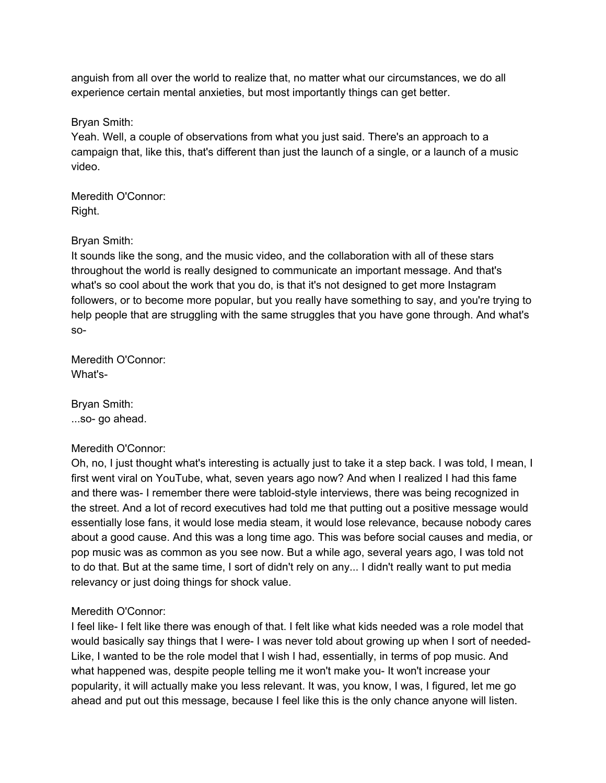anguish from all over the world to realize that, no matter what our circumstances, we do all experience certain mental anxieties, but most importantly things can get better.

Bryan Smith:

Yeah. Well, a couple of observations from what you just said. There's an approach to a campaign that, like this, that's different than just the launch of a single, or a launch of a music video.

Meredith O'Connor: Right.

## Bryan Smith:

It sounds like the song, and the music video, and the collaboration with all of these stars throughout the world is really designed to communicate an important message. And that's what's so cool about the work that you do, is that it's not designed to get more Instagram followers, or to become more popular, but you really have something to say, and you're trying to help people that are struggling with the same struggles that you have gone through. And what's so-

Meredith O'Connor: What's-

Bryan Smith: ...so- go ahead.

## Meredith O'Connor:

Oh, no, I just thought what's interesting is actually just to take it a step back. I was told, I mean, I first went viral on YouTube, what, seven years ago now? And when I realized I had this fame and there was- I remember there were tabloid-style interviews, there was being recognized in the street. And a lot of record executives had told me that putting out a positive message would essentially lose fans, it would lose media steam, it would lose relevance, because nobody cares about a good cause. And this was a long time ago. This was before social causes and media, or pop music was as common as you see now. But a while ago, several years ago, I was told not to do that. But at the same time, I sort of didn't rely on any... I didn't really want to put media relevancy or just doing things for shock value.

# Meredith O'Connor:

I feel like- I felt like there was enough of that. I felt like what kids needed was a role model that would basically say things that I were- I was never told about growing up when I sort of needed-Like, I wanted to be the role model that I wish I had, essentially, in terms of pop music. And what happened was, despite people telling me it won't make you- It won't increase your popularity, it will actually make you less relevant. It was, you know, I was, I figured, let me go ahead and put out this message, because I feel like this is the only chance anyone will listen.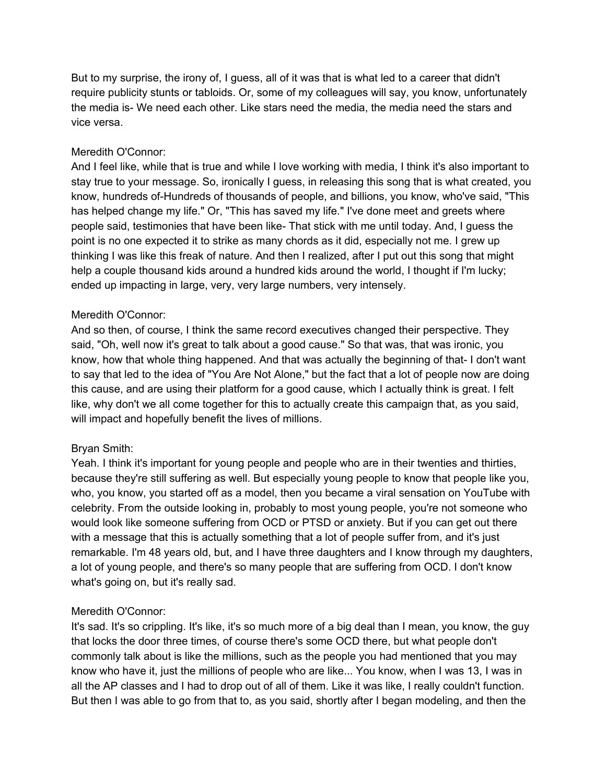But to my surprise, the irony of, I guess, all of it was that is what led to a career that didn't require publicity stunts or tabloids. Or, some of my colleagues will say, you know, unfortunately the media is- We need each other. Like stars need the media, the media need the stars and vice versa.

### Meredith O'Connor:

And I feel like, while that is true and while I love working with media, I think it's also important to stay true to your message. So, ironically I guess, in releasing this song that is what created, you know, hundreds of-Hundreds of thousands of people, and billions, you know, who've said, "This has helped change my life." Or, "This has saved my life." I've done meet and greets where people said, testimonies that have been like- That stick with me until today. And, I guess the point is no one expected it to strike as many chords as it did, especially not me. I grew up thinking I was like this freak of nature. And then I realized, after I put out this song that might help a couple thousand kids around a hundred kids around the world, I thought if I'm lucky; ended up impacting in large, very, very large numbers, very intensely.

## Meredith O'Connor:

And so then, of course, I think the same record executives changed their perspective. They said, "Oh, well now it's great to talk about a good cause." So that was, that was ironic, you know, how that whole thing happened. And that was actually the beginning of that- I don't want to say that led to the idea of "You Are Not Alone," but the fact that a lot of people now are doing this cause, and are using their platform for a good cause, which I actually think is great. I felt like, why don't we all come together for this to actually create this campaign that, as you said, will impact and hopefully benefit the lives of millions.

## Bryan Smith:

Yeah. I think it's important for young people and people who are in their twenties and thirties, because they're still suffering as well. But especially young people to know that people like you, who, you know, you started off as a model, then you became a viral sensation on YouTube with celebrity. From the outside looking in, probably to most young people, you're not someone who would look like someone suffering from OCD or PTSD or anxiety. But if you can get out there with a message that this is actually something that a lot of people suffer from, and it's just remarkable. I'm 48 years old, but, and I have three daughters and I know through my daughters, a lot of young people, and there's so many people that are suffering from OCD. I don't know what's going on, but it's really sad.

## Meredith O'Connor:

It's sad. It's so crippling. It's like, it's so much more of a big deal than I mean, you know, the guy that locks the door three times, of course there's some OCD there, but what people don't commonly talk about is like the millions, such as the people you had mentioned that you may know who have it, just the millions of people who are like... You know, when I was 13, I was in all the AP classes and I had to drop out of all of them. Like it was like, I really couldn't function. But then I was able to go from that to, as you said, shortly after I began modeling, and then the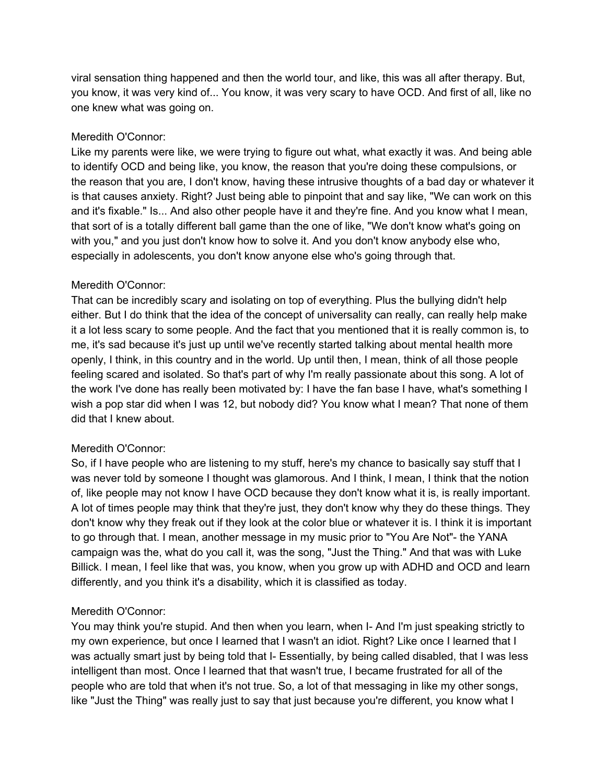viral sensation thing happened and then the world tour, and like, this was all after therapy. But, you know, it was very kind of... You know, it was very scary to have OCD. And first of all, like no one knew what was going on.

## Meredith O'Connor:

Like my parents were like, we were trying to figure out what, what exactly it was. And being able to identify OCD and being like, you know, the reason that you're doing these compulsions, or the reason that you are, I don't know, having these intrusive thoughts of a bad day or whatever it is that causes anxiety. Right? Just being able to pinpoint that and say like, "We can work on this and it's fixable." Is... And also other people have it and they're fine. And you know what I mean, that sort of is a totally different ball game than the one of like, "We don't know what's going on with you," and you just don't know how to solve it. And you don't know anybody else who, especially in adolescents, you don't know anyone else who's going through that.

## Meredith O'Connor:

That can be incredibly scary and isolating on top of everything. Plus the bullying didn't help either. But I do think that the idea of the concept of universality can really, can really help make it a lot less scary to some people. And the fact that you mentioned that it is really common is, to me, it's sad because it's just up until we've recently started talking about mental health more openly, I think, in this country and in the world. Up until then, I mean, think of all those people feeling scared and isolated. So that's part of why I'm really passionate about this song. A lot of the work I've done has really been motivated by: I have the fan base I have, what's something I wish a pop star did when I was 12, but nobody did? You know what I mean? That none of them did that I knew about.

## Meredith O'Connor:

So, if I have people who are listening to my stuff, here's my chance to basically say stuff that I was never told by someone I thought was glamorous. And I think, I mean, I think that the notion of, like people may not know I have OCD because they don't know what it is, is really important. A lot of times people may think that they're just, they don't know why they do these things. They don't know why they freak out if they look at the color blue or whatever it is. I think it is important to go through that. I mean, another message in my music prior to "You Are Not"- the YANA campaign was the, what do you call it, was the song, "Just the Thing." And that was with Luke Billick. I mean, I feel like that was, you know, when you grow up with ADHD and OCD and learn differently, and you think it's a disability, which it is classified as today.

## Meredith O'Connor:

You may think you're stupid. And then when you learn, when I- And I'm just speaking strictly to my own experience, but once I learned that I wasn't an idiot. Right? Like once I learned that I was actually smart just by being told that I- Essentially, by being called disabled, that I was less intelligent than most. Once I learned that that wasn't true, I became frustrated for all of the people who are told that when it's not true. So, a lot of that messaging in like my other songs, like "Just the Thing" was really just to say that just because you're different, you know what I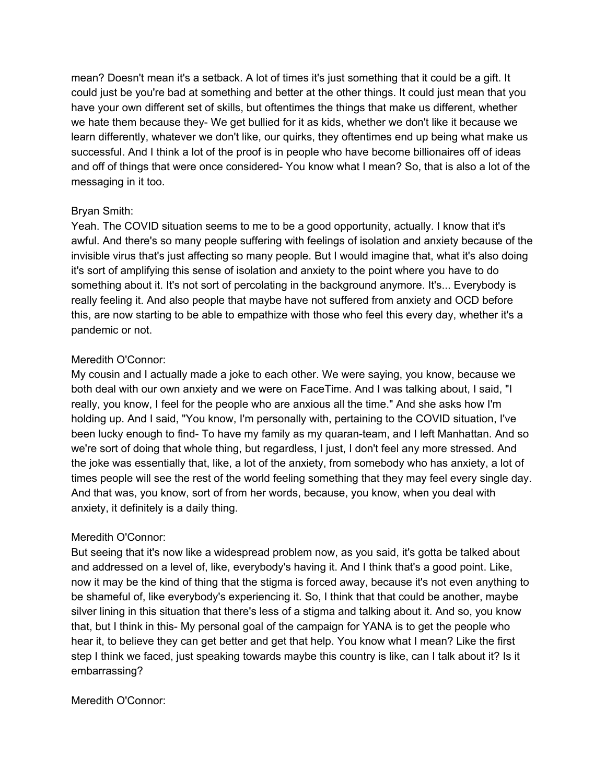mean? Doesn't mean it's a setback. A lot of times it's just something that it could be a gift. It could just be you're bad at something and better at the other things. It could just mean that you have your own different set of skills, but oftentimes the things that make us different, whether we hate them because they- We get bullied for it as kids, whether we don't like it because we learn differently, whatever we don't like, our quirks, they oftentimes end up being what make us successful. And I think a lot of the proof is in people who have become billionaires off of ideas and off of things that were once considered- You know what I mean? So, that is also a lot of the messaging in it too.

## Bryan Smith:

Yeah. The COVID situation seems to me to be a good opportunity, actually. I know that it's awful. And there's so many people suffering with feelings of isolation and anxiety because of the invisible virus that's just affecting so many people. But I would imagine that, what it's also doing it's sort of amplifying this sense of isolation and anxiety to the point where you have to do something about it. It's not sort of percolating in the background anymore. It's... Everybody is really feeling it. And also people that maybe have not suffered from anxiety and OCD before this, are now starting to be able to empathize with those who feel this every day, whether it's a pandemic or not.

## Meredith O'Connor:

My cousin and I actually made a joke to each other. We were saying, you know, because we both deal with our own anxiety and we were on FaceTime. And I was talking about, I said, "I really, you know, I feel for the people who are anxious all the time." And she asks how I'm holding up. And I said, "You know, I'm personally with, pertaining to the COVID situation, I've been lucky enough to find- To have my family as my quaran-team, and I left Manhattan. And so we're sort of doing that whole thing, but regardless, I just, I don't feel any more stressed. And the joke was essentially that, like, a lot of the anxiety, from somebody who has anxiety, a lot of times people will see the rest of the world feeling something that they may feel every single day. And that was, you know, sort of from her words, because, you know, when you deal with anxiety, it definitely is a daily thing.

## Meredith O'Connor:

But seeing that it's now like a widespread problem now, as you said, it's gotta be talked about and addressed on a level of, like, everybody's having it. And I think that's a good point. Like, now it may be the kind of thing that the stigma is forced away, because it's not even anything to be shameful of, like everybody's experiencing it. So, I think that that could be another, maybe silver lining in this situation that there's less of a stigma and talking about it. And so, you know that, but I think in this- My personal goal of the campaign for YANA is to get the people who hear it, to believe they can get better and get that help. You know what I mean? Like the first step I think we faced, just speaking towards maybe this country is like, can I talk about it? Is it embarrassing?

### Meredith O'Connor: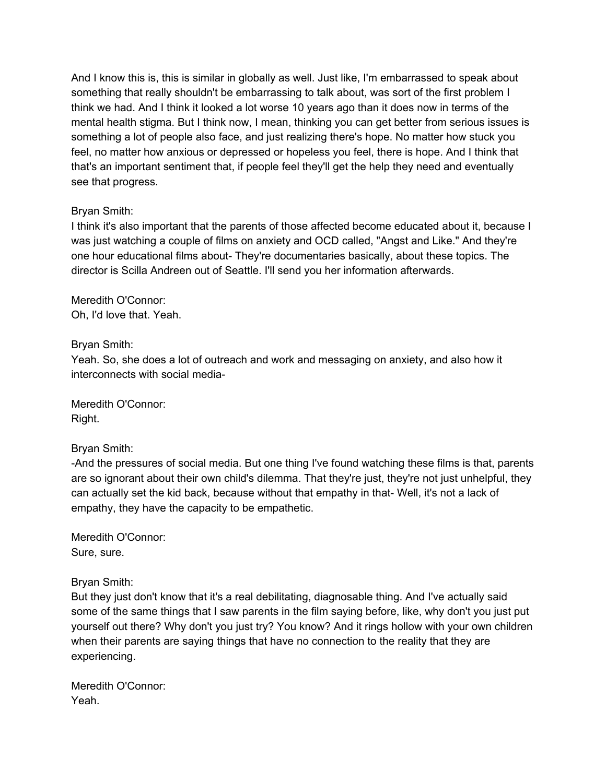And I know this is, this is similar in globally as well. Just like, I'm embarrassed to speak about something that really shouldn't be embarrassing to talk about, was sort of the first problem I think we had. And I think it looked a lot worse 10 years ago than it does now in terms of the mental health stigma. But I think now, I mean, thinking you can get better from serious issues is something a lot of people also face, and just realizing there's hope. No matter how stuck you feel, no matter how anxious or depressed or hopeless you feel, there is hope. And I think that that's an important sentiment that, if people feel they'll get the help they need and eventually see that progress.

## Bryan Smith:

I think it's also important that the parents of those affected become educated about it, because I was just watching a couple of films on anxiety and OCD called, "Angst and Like." And they're one hour educational films about- They're documentaries basically, about these topics. The director is Scilla Andreen out of Seattle. I'll send you her information afterwards.

Meredith O'Connor: Oh, I'd love that. Yeah.

## Bryan Smith:

Yeah. So, she does a lot of outreach and work and messaging on anxiety, and also how it interconnects with social media-

Meredith O'Connor: Right.

### Bryan Smith:

-And the pressures of social media. But one thing I've found watching these films is that, parents are so ignorant about their own child's dilemma. That they're just, they're not just unhelpful, they can actually set the kid back, because without that empathy in that- Well, it's not a lack of empathy, they have the capacity to be empathetic.

Meredith O'Connor: Sure, sure.

Bryan Smith:

But they just don't know that it's a real debilitating, diagnosable thing. And I've actually said some of the same things that I saw parents in the film saying before, like, why don't you just put yourself out there? Why don't you just try? You know? And it rings hollow with your own children when their parents are saying things that have no connection to the reality that they are experiencing.

Meredith O'Connor: Yeah.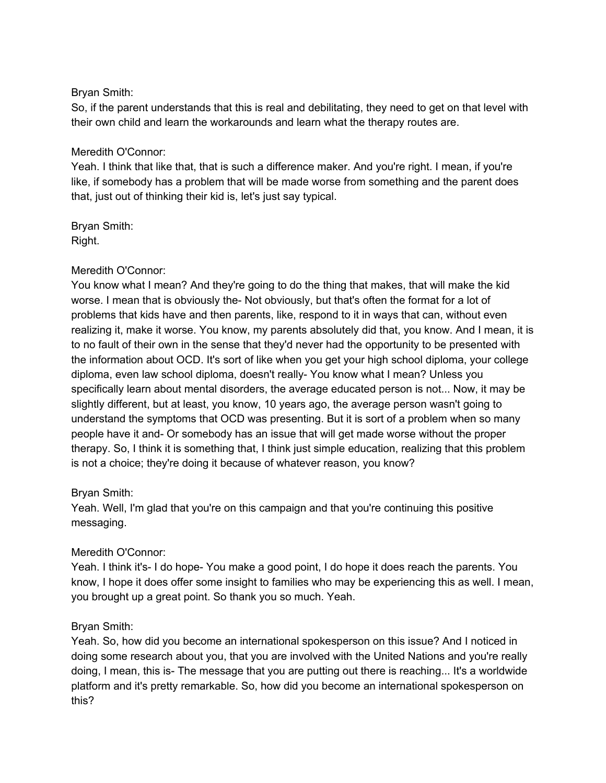## Bryan Smith:

So, if the parent understands that this is real and debilitating, they need to get on that level with their own child and learn the workarounds and learn what the therapy routes are.

### Meredith O'Connor:

Yeah. I think that like that, that is such a difference maker. And you're right. I mean, if you're like, if somebody has a problem that will be made worse from something and the parent does that, just out of thinking their kid is, let's just say typical.

Bryan Smith: Right.

## Meredith O'Connor:

You know what I mean? And they're going to do the thing that makes, that will make the kid worse. I mean that is obviously the- Not obviously, but that's often the format for a lot of problems that kids have and then parents, like, respond to it in ways that can, without even realizing it, make it worse. You know, my parents absolutely did that, you know. And I mean, it is to no fault of their own in the sense that they'd never had the opportunity to be presented with the information about OCD. It's sort of like when you get your high school diploma, your college diploma, even law school diploma, doesn't really- You know what I mean? Unless you specifically learn about mental disorders, the average educated person is not... Now, it may be slightly different, but at least, you know, 10 years ago, the average person wasn't going to understand the symptoms that OCD was presenting. But it is sort of a problem when so many people have it and- Or somebody has an issue that will get made worse without the proper therapy. So, I think it is something that, I think just simple education, realizing that this problem is not a choice; they're doing it because of whatever reason, you know?

## Bryan Smith:

Yeah. Well, I'm glad that you're on this campaign and that you're continuing this positive messaging.

## Meredith O'Connor:

Yeah. I think it's- I do hope- You make a good point, I do hope it does reach the parents. You know, I hope it does offer some insight to families who may be experiencing this as well. I mean, you brought up a great point. So thank you so much. Yeah.

### Bryan Smith:

Yeah. So, how did you become an international spokesperson on this issue? And I noticed in doing some research about you, that you are involved with the United Nations and you're really doing, I mean, this is- The message that you are putting out there is reaching... It's a worldwide platform and it's pretty remarkable. So, how did you become an international spokesperson on this?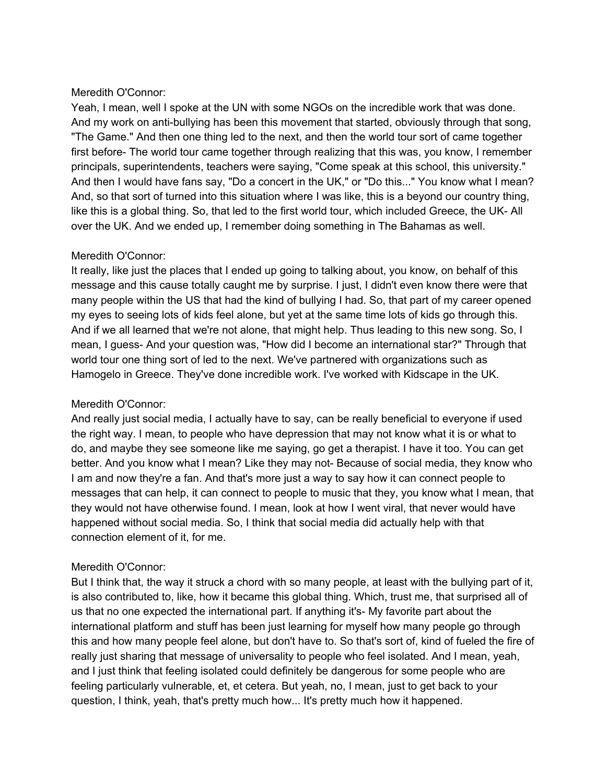Yeah, I mean, well I spoke at the UN with some NGOs on the incredible work that was done. And my work on anti-bullying has been this movement that started, obviously through that song, "The Game." And then one thing led to the next, and then the world tour sort of came together first before- The world tour came together through realizing that this was, you know, I remember principals, superintendents, teachers were saying, "Come speak at this school, this university." And then I would have fans say, "Do a concert in the UK," or "Do this..." You know what I mean? And, so that sort of turned into this situation where I was like, this is a beyond our country thing, like this is a global thing. So, that led to the first world tour, which included Greece, the UK- All over the UK. And we ended up, I remember doing something in The Bahamas as well.

## Meredith O'Connor:

It really, like just the places that I ended up going to talking about, you know, on behalf of this message and this cause totally caught me by surprise. I just, I didn't even know there were that many people within the US that had the kind of bullying I had. So, that part of my career opened my eyes to seeing lots of kids feel alone, but yet at the same time lots of kids go through this. And if we all learned that we're not alone, that might help. Thus leading to this new song. So, I mean, I guess- And your question was, "How did I become an international star?" Through that world tour one thing sort of led to the next. We've partnered with organizations such as Hamogelo in Greece. They've done incredible work. I've worked with Kidscape in the UK.

## Meredith O'Connor:

And really just social media, I actually have to say, can be really beneficial to everyone if used the right way. I mean, to people who have depression that may not know what it is or what to do, and maybe they see someone like me saying, go get a therapist. I have it too. You can get better. And you know what I mean? Like they may not- Because of social media, they know who I am and now they're a fan. And that's more just a way to say how it can connect people to messages that can help, it can connect to people to music that they, you know what I mean, that they would not have otherwise found. I mean, look at how I went viral, that never would have happened without social media. So, I think that social media did actually help with that connection element of it, for me.

### Meredith O'Connor:

But I think that, the way it struck a chord with so many people, at least with the bullying part of it, is also contributed to, like, how it became this global thing. Which, trust me, that surprised all of us that no one expected the international part. If anything it's- My favorite part about the international platform and stuff has been just learning for myself how many people go through this and how many people feel alone, but don't have to. So that's sort of, kind of fueled the fire of really just sharing that message of universality to people who feel isolated. And I mean, yeah, and I just think that feeling isolated could definitely be dangerous for some people who are feeling particularly vulnerable, et, et cetera. But yeah, no, I mean, just to get back to your question, I think, yeah, that's pretty much how... It's pretty much how it happened.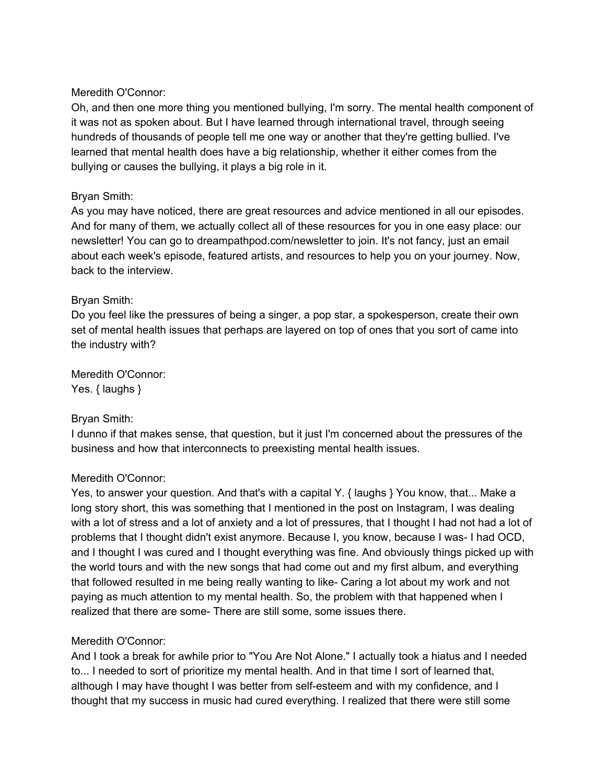Oh, and then one more thing you mentioned bullying, I'm sorry. The mental health component of it was not as spoken about. But I have learned through international travel, through seeing hundreds of thousands of people tell me one way or another that they're getting bullied. I've learned that mental health does have a big relationship, whether it either comes from the bullying or causes the bullying, it plays a big role in it.

## Bryan Smith:

As you may have noticed, there are great resources and advice mentioned in all our episodes. And for many of them, we actually collect all of these resources for you in one easy place: our newsletter! You can go to dreampathpod.com/newsletter to join. It's not fancy, just an email about each week's episode, featured artists, and resources to help you on your journey. Now, back to the interview.

## Bryan Smith:

Do you feel like the pressures of being a singer, a pop star, a spokesperson, create their own set of mental health issues that perhaps are layered on top of ones that you sort of came into the industry with?

Meredith O'Connor: Yes. { laughs }

### Bryan Smith:

I dunno if that makes sense, that question, but it just I'm concerned about the pressures of the business and how that interconnects to preexisting mental health issues.

### Meredith O'Connor:

Yes, to answer your question. And that's with a capital Y. { laughs } You know, that... Make a long story short, this was something that I mentioned in the post on Instagram, I was dealing with a lot of stress and a lot of anxiety and a lot of pressures, that I thought I had not had a lot of problems that I thought didn't exist anymore. Because I, you know, because I was- I had OCD, and I thought I was cured and I thought everything was fine. And obviously things picked up with the world tours and with the new songs that had come out and my first album, and everything that followed resulted in me being really wanting to like- Caring a lot about my work and not paying as much attention to my mental health. So, the problem with that happened when I realized that there are some- There are still some, some issues there.

## Meredith O'Connor:

And I took a break for awhile prior to "You Are Not Alone." I actually took a hiatus and I needed to... I needed to sort of prioritize my mental health. And in that time I sort of learned that, although I may have thought I was better from self-esteem and with my confidence, and I thought that my success in music had cured everything. I realized that there were still some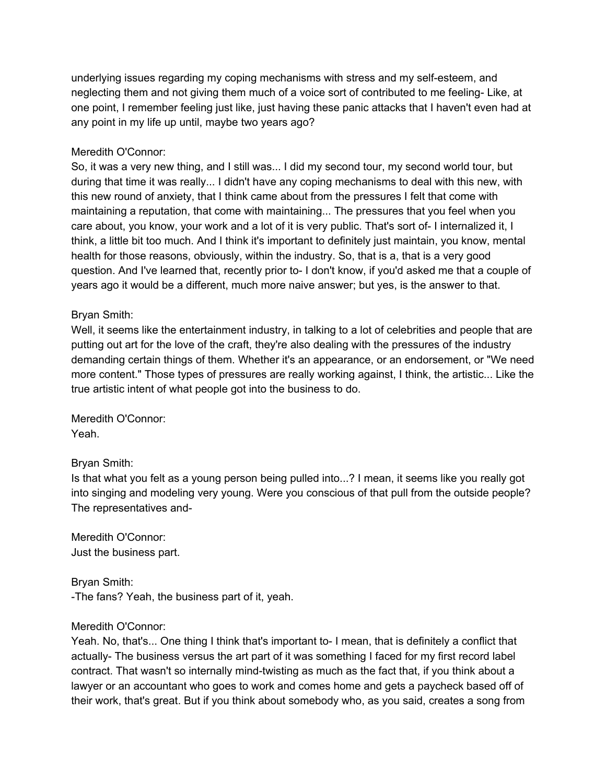underlying issues regarding my coping mechanisms with stress and my self-esteem, and neglecting them and not giving them much of a voice sort of contributed to me feeling- Like, at one point, I remember feeling just like, just having these panic attacks that I haven't even had at any point in my life up until, maybe two years ago?

### Meredith O'Connor:

So, it was a very new thing, and I still was... I did my second tour, my second world tour, but during that time it was really... I didn't have any coping mechanisms to deal with this new, with this new round of anxiety, that I think came about from the pressures I felt that come with maintaining a reputation, that come with maintaining... The pressures that you feel when you care about, you know, your work and a lot of it is very public. That's sort of- I internalized it, I think, a little bit too much. And I think it's important to definitely just maintain, you know, mental health for those reasons, obviously, within the industry. So, that is a, that is a very good question. And I've learned that, recently prior to- I don't know, if you'd asked me that a couple of years ago it would be a different, much more naive answer; but yes, is the answer to that.

## Bryan Smith:

Well, it seems like the entertainment industry, in talking to a lot of celebrities and people that are putting out art for the love of the craft, they're also dealing with the pressures of the industry demanding certain things of them. Whether it's an appearance, or an endorsement, or "We need more content." Those types of pressures are really working against, I think, the artistic... Like the true artistic intent of what people got into the business to do.

Meredith O'Connor: Yeah.

### Bryan Smith:

Is that what you felt as a young person being pulled into...? I mean, it seems like you really got into singing and modeling very young. Were you conscious of that pull from the outside people? The representatives and-

Meredith O'Connor: Just the business part.

Bryan Smith: -The fans? Yeah, the business part of it, yeah.

### Meredith O'Connor:

Yeah. No, that's... One thing I think that's important to- I mean, that is definitely a conflict that actually- The business versus the art part of it was something I faced for my first record label contract. That wasn't so internally mind-twisting as much as the fact that, if you think about a lawyer or an accountant who goes to work and comes home and gets a paycheck based off of their work, that's great. But if you think about somebody who, as you said, creates a song from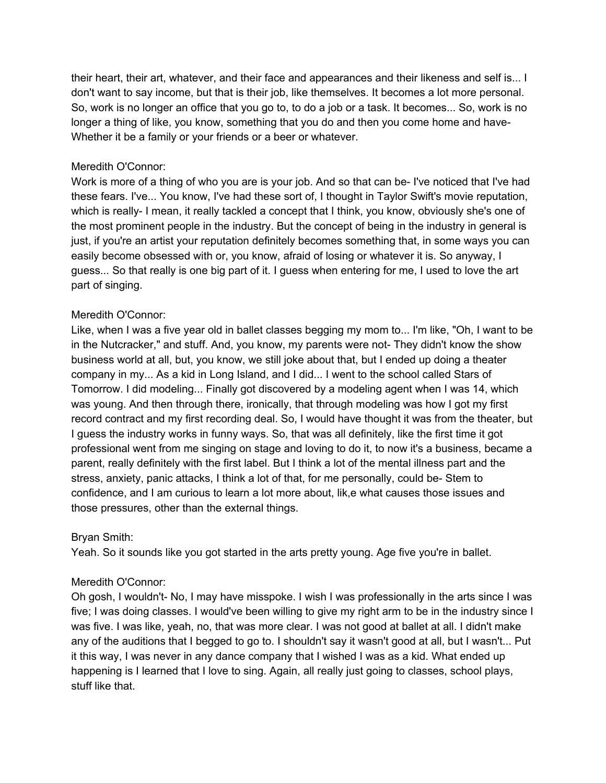their heart, their art, whatever, and their face and appearances and their likeness and self is... I don't want to say income, but that is their job, like themselves. It becomes a lot more personal. So, work is no longer an office that you go to, to do a job or a task. It becomes... So, work is no longer a thing of like, you know, something that you do and then you come home and have-Whether it be a family or your friends or a beer or whatever.

### Meredith O'Connor:

Work is more of a thing of who you are is your job. And so that can be- I've noticed that I've had these fears. I've... You know, I've had these sort of, I thought in Taylor Swift's movie reputation, which is really- I mean, it really tackled a concept that I think, you know, obviously she's one of the most prominent people in the industry. But the concept of being in the industry in general is just, if you're an artist your reputation definitely becomes something that, in some ways you can easily become obsessed with or, you know, afraid of losing or whatever it is. So anyway, I guess... So that really is one big part of it. I guess when entering for me, I used to love the art part of singing.

### Meredith O'Connor:

Like, when I was a five year old in ballet classes begging my mom to... I'm like, "Oh, I want to be in the Nutcracker," and stuff. And, you know, my parents were not- They didn't know the show business world at all, but, you know, we still joke about that, but I ended up doing a theater company in my... As a kid in Long Island, and I did... I went to the school called Stars of Tomorrow. I did modeling... Finally got discovered by a modeling agent when I was 14, which was young. And then through there, ironically, that through modeling was how I got my first record contract and my first recording deal. So, I would have thought it was from the theater, but I guess the industry works in funny ways. So, that was all definitely, like the first time it got professional went from me singing on stage and loving to do it, to now it's a business, became a parent, really definitely with the first label. But I think a lot of the mental illness part and the stress, anxiety, panic attacks, I think a lot of that, for me personally, could be- Stem to confidence, and I am curious to learn a lot more about, lik,e what causes those issues and those pressures, other than the external things.

### Bryan Smith:

Yeah. So it sounds like you got started in the arts pretty young. Age five you're in ballet.

## Meredith O'Connor:

Oh gosh, I wouldn't- No, I may have misspoke. I wish I was professionally in the arts since I was five; I was doing classes. I would've been willing to give my right arm to be in the industry since I was five. I was like, yeah, no, that was more clear. I was not good at ballet at all. I didn't make any of the auditions that I begged to go to. I shouldn't say it wasn't good at all, but I wasn't... Put it this way, I was never in any dance company that I wished I was as a kid. What ended up happening is I learned that I love to sing. Again, all really just going to classes, school plays, stuff like that.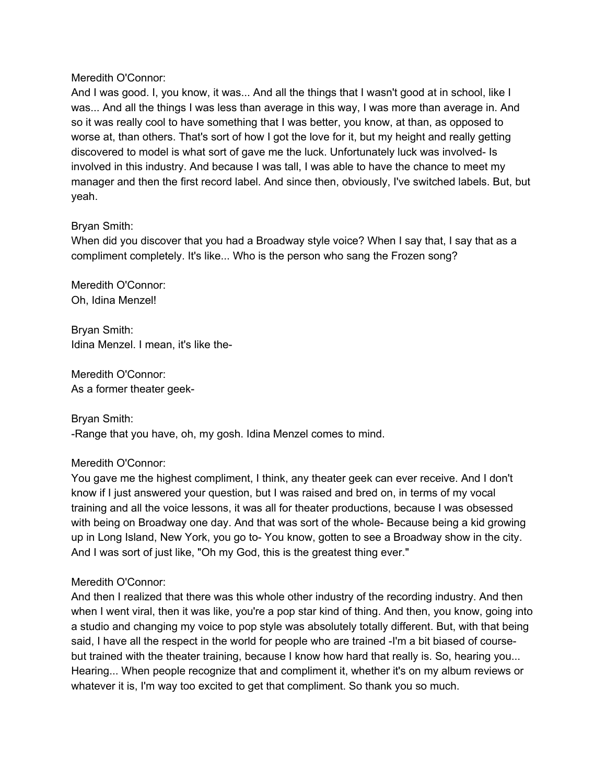And I was good. I, you know, it was... And all the things that I wasn't good at in school, like I was... And all the things I was less than average in this way, I was more than average in. And so it was really cool to have something that I was better, you know, at than, as opposed to worse at, than others. That's sort of how I got the love for it, but my height and really getting discovered to model is what sort of gave me the luck. Unfortunately luck was involved- Is involved in this industry. And because I was tall, I was able to have the chance to meet my manager and then the first record label. And since then, obviously, I've switched labels. But, but yeah.

## Bryan Smith:

When did you discover that you had a Broadway style voice? When I say that, I say that as a compliment completely. It's like... Who is the person who sang the Frozen song?

Meredith O'Connor: Oh, Idina Menzel!

Bryan Smith: Idina Menzel. I mean, it's like the-

Meredith O'Connor: As a former theater geek-

Bryan Smith: -Range that you have, oh, my gosh. Idina Menzel comes to mind.

## Meredith O'Connor:

You gave me the highest compliment, I think, any theater geek can ever receive. And I don't know if I just answered your question, but I was raised and bred on, in terms of my vocal training and all the voice lessons, it was all for theater productions, because I was obsessed with being on Broadway one day. And that was sort of the whole- Because being a kid growing up in Long Island, New York, you go to- You know, gotten to see a Broadway show in the city. And I was sort of just like, "Oh my God, this is the greatest thing ever."

## Meredith O'Connor:

And then I realized that there was this whole other industry of the recording industry. And then when I went viral, then it was like, you're a pop star kind of thing. And then, you know, going into a studio and changing my voice to pop style was absolutely totally different. But, with that being said, I have all the respect in the world for people who are trained -I'm a bit biased of coursebut trained with the theater training, because I know how hard that really is. So, hearing you... Hearing... When people recognize that and compliment it, whether it's on my album reviews or whatever it is, I'm way too excited to get that compliment. So thank you so much.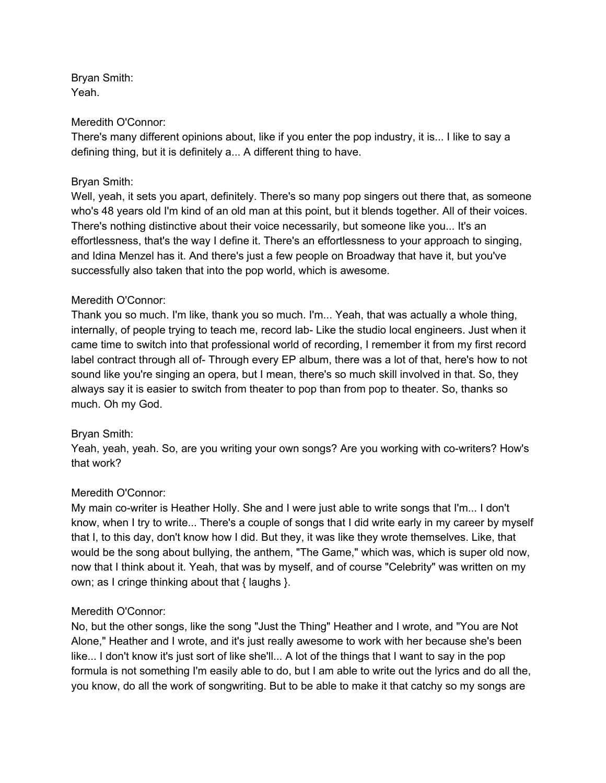Bryan Smith: Yeah.

#### Meredith O'Connor:

There's many different opinions about, like if you enter the pop industry, it is... I like to say a defining thing, but it is definitely a... A different thing to have.

### Bryan Smith:

Well, yeah, it sets you apart, definitely. There's so many pop singers out there that, as someone who's 48 years old I'm kind of an old man at this point, but it blends together. All of their voices. There's nothing distinctive about their voice necessarily, but someone like you... It's an effortlessness, that's the way I define it. There's an effortlessness to your approach to singing, and Idina Menzel has it. And there's just a few people on Broadway that have it, but you've successfully also taken that into the pop world, which is awesome.

## Meredith O'Connor:

Thank you so much. I'm like, thank you so much. I'm... Yeah, that was actually a whole thing, internally, of people trying to teach me, record lab- Like the studio local engineers. Just when it came time to switch into that professional world of recording, I remember it from my first record label contract through all of- Through every EP album, there was a lot of that, here's how to not sound like you're singing an opera, but I mean, there's so much skill involved in that. So, they always say it is easier to switch from theater to pop than from pop to theater. So, thanks so much. Oh my God.

### Bryan Smith:

Yeah, yeah, yeah. So, are you writing your own songs? Are you working with co-writers? How's that work?

## Meredith O'Connor:

My main co-writer is Heather Holly. She and I were just able to write songs that I'm... I don't know, when I try to write... There's a couple of songs that I did write early in my career by myself that I, to this day, don't know how I did. But they, it was like they wrote themselves. Like, that would be the song about bullying, the anthem, "The Game," which was, which is super old now, now that I think about it. Yeah, that was by myself, and of course "Celebrity" was written on my own; as I cringe thinking about that { laughs }.

### Meredith O'Connor:

No, but the other songs, like the song "Just the Thing" Heather and I wrote, and "You are Not Alone," Heather and I wrote, and it's just really awesome to work with her because she's been like... I don't know it's just sort of like she'll... A lot of the things that I want to say in the pop formula is not something I'm easily able to do, but I am able to write out the lyrics and do all the, you know, do all the work of songwriting. But to be able to make it that catchy so my songs are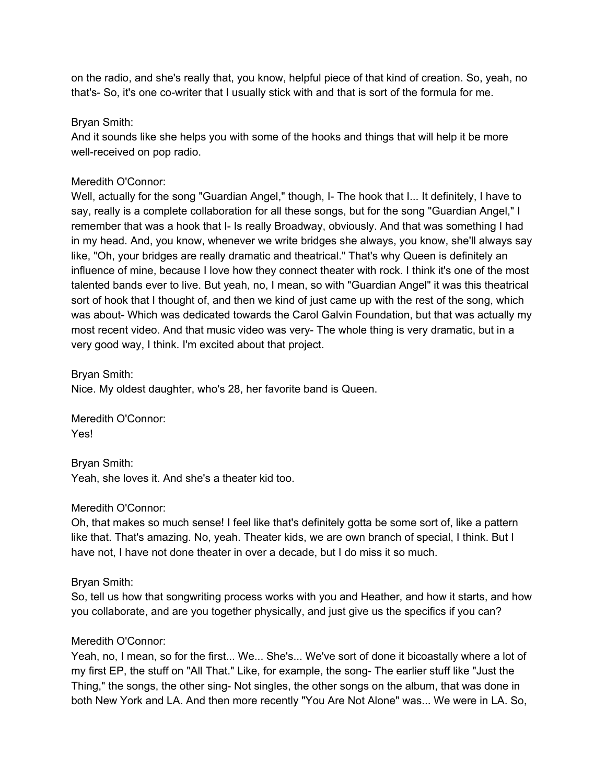on the radio, and she's really that, you know, helpful piece of that kind of creation. So, yeah, no that's- So, it's one co-writer that I usually stick with and that is sort of the formula for me.

## Bryan Smith:

And it sounds like she helps you with some of the hooks and things that will help it be more well-received on pop radio.

## Meredith O'Connor:

Well, actually for the song "Guardian Angel," though, I- The hook that I... It definitely, I have to say, really is a complete collaboration for all these songs, but for the song "Guardian Angel," I remember that was a hook that I- Is really Broadway, obviously. And that was something I had in my head. And, you know, whenever we write bridges she always, you know, she'll always say like, "Oh, your bridges are really dramatic and theatrical." That's why Queen is definitely an influence of mine, because I love how they connect theater with rock. I think it's one of the most talented bands ever to live. But yeah, no, I mean, so with "Guardian Angel" it was this theatrical sort of hook that I thought of, and then we kind of just came up with the rest of the song, which was about- Which was dedicated towards the Carol Galvin Foundation, but that was actually my most recent video. And that music video was very- The whole thing is very dramatic, but in a very good way, I think. I'm excited about that project.

Bryan Smith: Nice. My oldest daughter, who's 28, her favorite band is Queen.

Meredith O'Connor: Yes!

Bryan Smith: Yeah, she loves it. And she's a theater kid too.

## Meredith O'Connor:

Oh, that makes so much sense! I feel like that's definitely gotta be some sort of, like a pattern like that. That's amazing. No, yeah. Theater kids, we are own branch of special, I think. But I have not, I have not done theater in over a decade, but I do miss it so much.

Bryan Smith:

So, tell us how that songwriting process works with you and Heather, and how it starts, and how you collaborate, and are you together physically, and just give us the specifics if you can?

## Meredith O'Connor:

Yeah, no, I mean, so for the first... We... She's... We've sort of done it bicoastally where a lot of my first EP, the stuff on "All That." Like, for example, the song- The earlier stuff like "Just the Thing," the songs, the other sing- Not singles, the other songs on the album, that was done in both New York and LA. And then more recently "You Are Not Alone" was... We were in LA. So,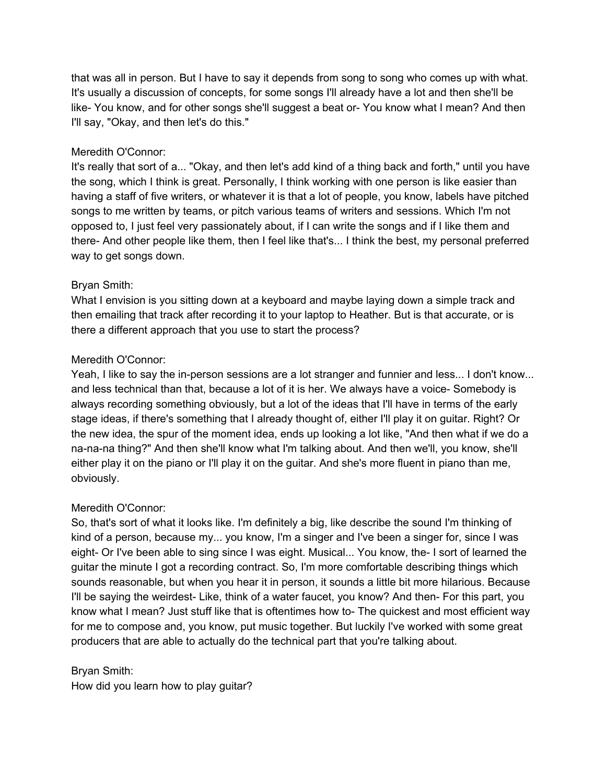that was all in person. But I have to say it depends from song to song who comes up with what. It's usually a discussion of concepts, for some songs I'll already have a lot and then she'll be like- You know, and for other songs she'll suggest a beat or- You know what I mean? And then I'll say, "Okay, and then let's do this."

## Meredith O'Connor:

It's really that sort of a... "Okay, and then let's add kind of a thing back and forth," until you have the song, which I think is great. Personally, I think working with one person is like easier than having a staff of five writers, or whatever it is that a lot of people, you know, labels have pitched songs to me written by teams, or pitch various teams of writers and sessions. Which I'm not opposed to, I just feel very passionately about, if I can write the songs and if I like them and there- And other people like them, then I feel like that's... I think the best, my personal preferred way to get songs down.

## Bryan Smith:

What I envision is you sitting down at a keyboard and maybe laying down a simple track and then emailing that track after recording it to your laptop to Heather. But is that accurate, or is there a different approach that you use to start the process?

## Meredith O'Connor:

Yeah, I like to say the in-person sessions are a lot stranger and funnier and less... I don't know... and less technical than that, because a lot of it is her. We always have a voice- Somebody is always recording something obviously, but a lot of the ideas that I'll have in terms of the early stage ideas, if there's something that I already thought of, either I'll play it on guitar. Right? Or the new idea, the spur of the moment idea, ends up looking a lot like, "And then what if we do a na-na-na thing?" And then she'll know what I'm talking about. And then we'll, you know, she'll either play it on the piano or I'll play it on the guitar. And she's more fluent in piano than me, obviously.

### Meredith O'Connor:

So, that's sort of what it looks like. I'm definitely a big, like describe the sound I'm thinking of kind of a person, because my... you know, I'm a singer and I've been a singer for, since I was eight- Or I've been able to sing since I was eight. Musical... You know, the- I sort of learned the guitar the minute I got a recording contract. So, I'm more comfortable describing things which sounds reasonable, but when you hear it in person, it sounds a little bit more hilarious. Because I'll be saying the weirdest- Like, think of a water faucet, you know? And then- For this part, you know what I mean? Just stuff like that is oftentimes how to- The quickest and most efficient way for me to compose and, you know, put music together. But luckily I've worked with some great producers that are able to actually do the technical part that you're talking about.

### Bryan Smith:

How did you learn how to play guitar?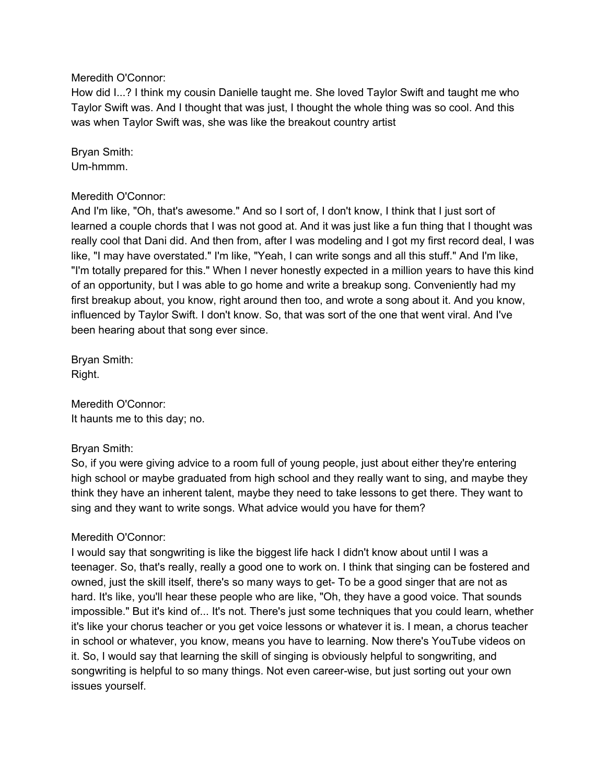How did I...? I think my cousin Danielle taught me. She loved Taylor Swift and taught me who Taylor Swift was. And I thought that was just, I thought the whole thing was so cool. And this was when Taylor Swift was, she was like the breakout country artist

Bryan Smith: Um-hmmm.

### Meredith O'Connor:

And I'm like, "Oh, that's awesome." And so I sort of, I don't know, I think that I just sort of learned a couple chords that I was not good at. And it was just like a fun thing that I thought was really cool that Dani did. And then from, after I was modeling and I got my first record deal, I was like, "I may have overstated." I'm like, "Yeah, I can write songs and all this stuff." And I'm like, "I'm totally prepared for this." When I never honestly expected in a million years to have this kind of an opportunity, but I was able to go home and write a breakup song. Conveniently had my first breakup about, you know, right around then too, and wrote a song about it. And you know, influenced by Taylor Swift. I don't know. So, that was sort of the one that went viral. And I've been hearing about that song ever since.

Bryan Smith: Right.

Meredith O'Connor: It haunts me to this day; no.

### Bryan Smith:

So, if you were giving advice to a room full of young people, just about either they're entering high school or maybe graduated from high school and they really want to sing, and maybe they think they have an inherent talent, maybe they need to take lessons to get there. They want to sing and they want to write songs. What advice would you have for them?

### Meredith O'Connor:

I would say that songwriting is like the biggest life hack I didn't know about until I was a teenager. So, that's really, really a good one to work on. I think that singing can be fostered and owned, just the skill itself, there's so many ways to get- To be a good singer that are not as hard. It's like, you'll hear these people who are like, "Oh, they have a good voice. That sounds impossible." But it's kind of... It's not. There's just some techniques that you could learn, whether it's like your chorus teacher or you get voice lessons or whatever it is. I mean, a chorus teacher in school or whatever, you know, means you have to learning. Now there's YouTube videos on it. So, I would say that learning the skill of singing is obviously helpful to songwriting, and songwriting is helpful to so many things. Not even career-wise, but just sorting out your own issues yourself.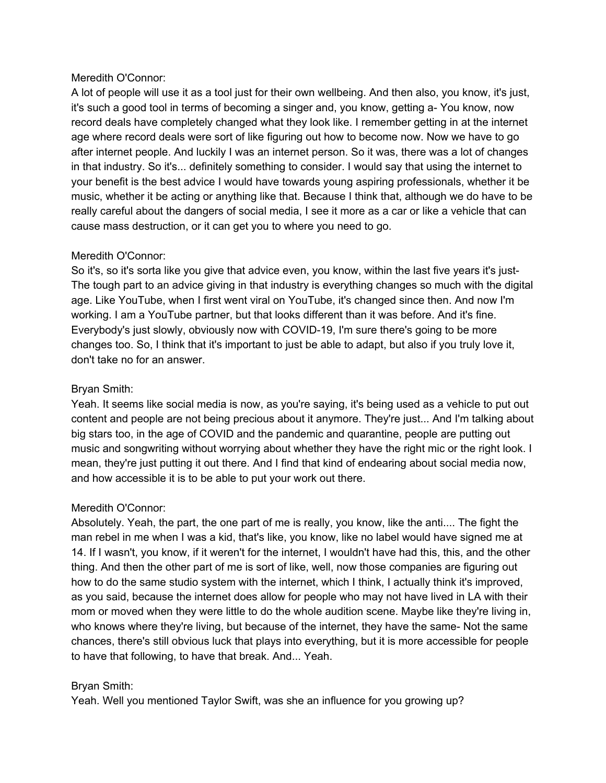A lot of people will use it as a tool just for their own wellbeing. And then also, you know, it's just, it's such a good tool in terms of becoming a singer and, you know, getting a- You know, now record deals have completely changed what they look like. I remember getting in at the internet age where record deals were sort of like figuring out how to become now. Now we have to go after internet people. And luckily I was an internet person. So it was, there was a lot of changes in that industry. So it's... definitely something to consider. I would say that using the internet to your benefit is the best advice I would have towards young aspiring professionals, whether it be music, whether it be acting or anything like that. Because I think that, although we do have to be really careful about the dangers of social media, I see it more as a car or like a vehicle that can cause mass destruction, or it can get you to where you need to go.

## Meredith O'Connor:

So it's, so it's sorta like you give that advice even, you know, within the last five years it's just-The tough part to an advice giving in that industry is everything changes so much with the digital age. Like YouTube, when I first went viral on YouTube, it's changed since then. And now I'm working. I am a YouTube partner, but that looks different than it was before. And it's fine. Everybody's just slowly, obviously now with COVID-19, I'm sure there's going to be more changes too. So, I think that it's important to just be able to adapt, but also if you truly love it, don't take no for an answer.

## Bryan Smith:

Yeah. It seems like social media is now, as you're saying, it's being used as a vehicle to put out content and people are not being precious about it anymore. They're just... And I'm talking about big stars too, in the age of COVID and the pandemic and quarantine, people are putting out music and songwriting without worrying about whether they have the right mic or the right look. I mean, they're just putting it out there. And I find that kind of endearing about social media now, and how accessible it is to be able to put your work out there.

## Meredith O'Connor:

Absolutely. Yeah, the part, the one part of me is really, you know, like the anti.... The fight the man rebel in me when I was a kid, that's like, you know, like no label would have signed me at 14. If I wasn't, you know, if it weren't for the internet, I wouldn't have had this, this, and the other thing. And then the other part of me is sort of like, well, now those companies are figuring out how to do the same studio system with the internet, which I think, I actually think it's improved, as you said, because the internet does allow for people who may not have lived in LA with their mom or moved when they were little to do the whole audition scene. Maybe like they're living in, who knows where they're living, but because of the internet, they have the same- Not the same chances, there's still obvious luck that plays into everything, but it is more accessible for people to have that following, to have that break. And... Yeah.

## Bryan Smith:

Yeah. Well you mentioned Taylor Swift, was she an influence for you growing up?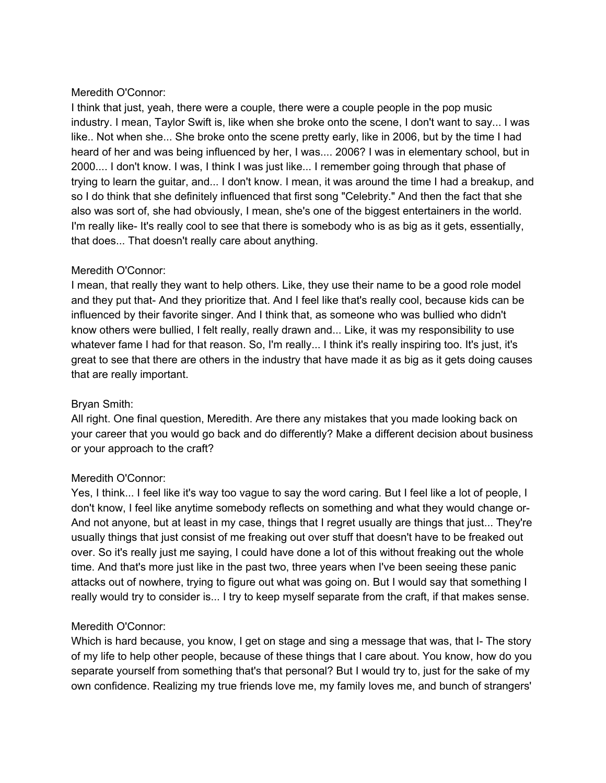I think that just, yeah, there were a couple, there were a couple people in the pop music industry. I mean, Taylor Swift is, like when she broke onto the scene, I don't want to say... I was like.. Not when she... She broke onto the scene pretty early, like in 2006, but by the time I had heard of her and was being influenced by her, I was.... 2006? I was in elementary school, but in 2000.... I don't know. I was, I think I was just like... I remember going through that phase of trying to learn the guitar, and... I don't know. I mean, it was around the time I had a breakup, and so I do think that she definitely influenced that first song "Celebrity." And then the fact that she also was sort of, she had obviously, I mean, she's one of the biggest entertainers in the world. I'm really like- It's really cool to see that there is somebody who is as big as it gets, essentially, that does... That doesn't really care about anything.

## Meredith O'Connor:

I mean, that really they want to help others. Like, they use their name to be a good role model and they put that- And they prioritize that. And I feel like that's really cool, because kids can be influenced by their favorite singer. And I think that, as someone who was bullied who didn't know others were bullied, I felt really, really drawn and... Like, it was my responsibility to use whatever fame I had for that reason. So, I'm really... I think it's really inspiring too. It's just, it's great to see that there are others in the industry that have made it as big as it gets doing causes that are really important.

### Bryan Smith:

All right. One final question, Meredith. Are there any mistakes that you made looking back on your career that you would go back and do differently? Make a different decision about business or your approach to the craft?

### Meredith O'Connor:

Yes, I think... I feel like it's way too vague to say the word caring. But I feel like a lot of people, I don't know, I feel like anytime somebody reflects on something and what they would change or-And not anyone, but at least in my case, things that I regret usually are things that just... They're usually things that just consist of me freaking out over stuff that doesn't have to be freaked out over. So it's really just me saying, I could have done a lot of this without freaking out the whole time. And that's more just like in the past two, three years when I've been seeing these panic attacks out of nowhere, trying to figure out what was going on. But I would say that something I really would try to consider is... I try to keep myself separate from the craft, if that makes sense.

## Meredith O'Connor:

Which is hard because, you know, I get on stage and sing a message that was, that I- The story of my life to help other people, because of these things that I care about. You know, how do you separate yourself from something that's that personal? But I would try to, just for the sake of my own confidence. Realizing my true friends love me, my family loves me, and bunch of strangers'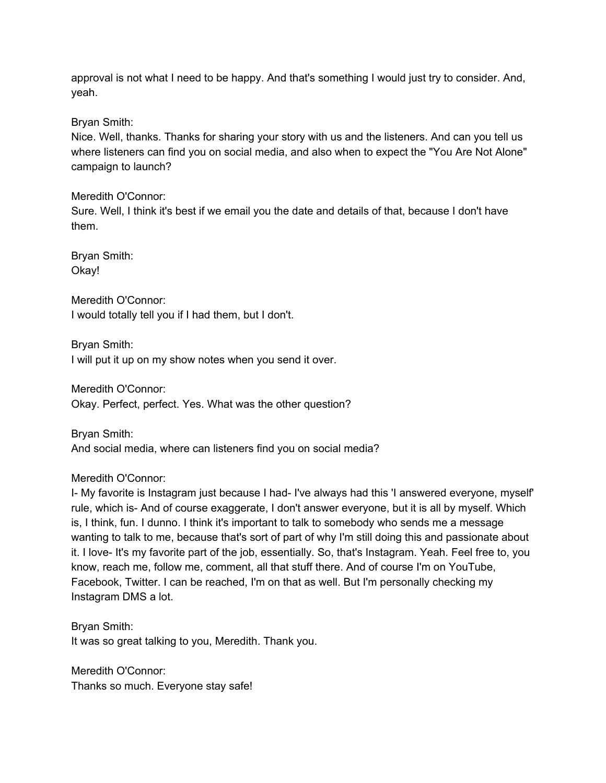approval is not what I need to be happy. And that's something I would just try to consider. And, yeah.

Bryan Smith:

Nice. Well, thanks. Thanks for sharing your story with us and the listeners. And can you tell us where listeners can find you on social media, and also when to expect the "You Are Not Alone" campaign to launch?

Meredith O'Connor:

Sure. Well, I think it's best if we email you the date and details of that, because I don't have them.

Bryan Smith: Okay!

Meredith O'Connor: I would totally tell you if I had them, but I don't.

Bryan Smith: I will put it up on my show notes when you send it over.

Meredith O'Connor: Okay. Perfect, perfect. Yes. What was the other question?

Bryan Smith: And social media, where can listeners find you on social media?

Meredith O'Connor:

I- My favorite is Instagram just because I had- I've always had this 'I answered everyone, myself' rule, which is- And of course exaggerate, I don't answer everyone, but it is all by myself. Which is, I think, fun. I dunno. I think it's important to talk to somebody who sends me a message wanting to talk to me, because that's sort of part of why I'm still doing this and passionate about it. I love- It's my favorite part of the job, essentially. So, that's Instagram. Yeah. Feel free to, you know, reach me, follow me, comment, all that stuff there. And of course I'm on YouTube, Facebook, Twitter. I can be reached, I'm on that as well. But I'm personally checking my Instagram DMS a lot.

Bryan Smith: It was so great talking to you, Meredith. Thank you.

Meredith O'Connor: Thanks so much. Everyone stay safe!